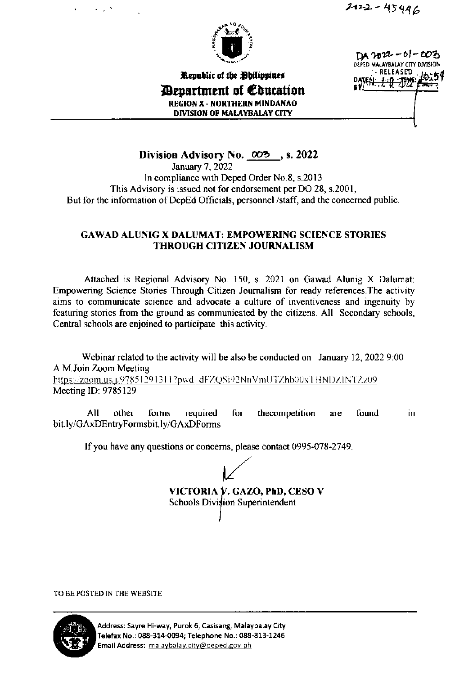

DA nore - 01 - 003 DEPED MALAYBALAY CITY DIVISION **RELEASED** 

*Department of Education* **REGION X - NORTHERN MINDANAO** DIVISION OF MALAYBALAY CITY

Republic of the Philippines

Division Advisory No.  $\omega$  , s. 2022

January 7, 2022 In compliance with Deped Order No.8, s.2013 This Advisory is issued not for endorsement per DO 28, s.2001, But for the information of DepEd Officials, personnel /staff, and the concerned public.

#### **GAWAD ALUNIG X DALUMAT: EMPOWERING SCIENCE STORIES THROUGH CITIZEN JOURNALISM**

Attached is Regional Advisory No. 150, s. 2021 on Gawad Alunig X Dalumat: Empowering Science Stories Through Citizen Journalism for ready references. The activity aims to communicate science and advocate a culture of inventiveness and ingenuity by featuring stories from the ground as communicated by the citizens. All Secondary schools, Central schools are enjoined to participate this activity.

Webinar related to the activity will be also be conducted on January 12, 2022 9:00 A.M.Join Zoom Meeting https://zoom.us/j/97851291311?pwd\_dFZQSi92NnVmUTZhb00xTHNDZINTZz09 Meeting ID: 9785129

All other forms required for thecompetition found are in bit.ly/GAxDEntryFormsbit.ly/GAxDForms

If you have any questions or concerns, please contact 0995-078-2749.

VICTORIA V. GAZO, PhD, CESO V Schools Division Superintendent

TO BE POSTED IN THE WEBSITE



Address: Sayre Hi-way, Purok 6, Casisang, Malaybalay City Telefax No.: 088-314-0094; Telephone No.: 088-813-1246 Email Address: malaybalay.city@deped.gov.ph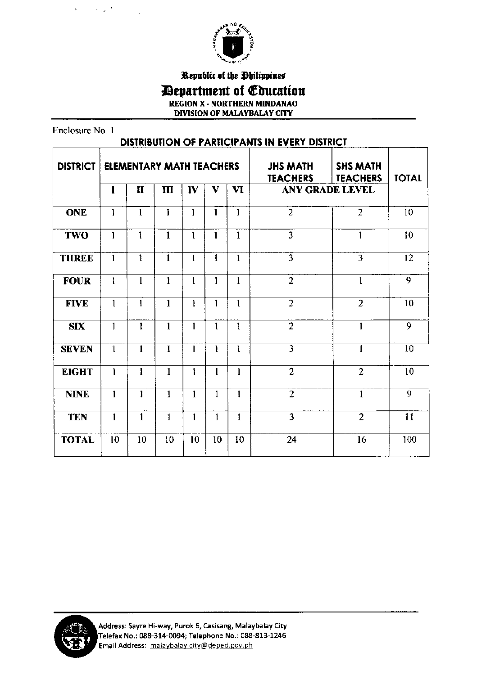

Republic of the Philippines

*Department of Education* 

**REGION X - NORTHERN MINDANAO** 

DIVISION OF MALAYBALAY CITY

Enclosure No. 1

 $\hat{\mathbf{r}}$ 

1992 M

| <b>DISTRIBUTION OF PARTICIPANTS IN EVERY DISTRICT</b> |              |                                 |              |              |              |              |                                    |                                    |                  |
|-------------------------------------------------------|--------------|---------------------------------|--------------|--------------|--------------|--------------|------------------------------------|------------------------------------|------------------|
| <b>DISTRICT</b>                                       |              | <b>ELEMENTARY MATH TEACHERS</b> |              |              |              |              | <b>JHS MATH</b><br><b>TEACHERS</b> | <b>SHS MATH</b><br><b>TEACHERS</b> | <b>TOTAL</b>     |
|                                                       | I            | $\mathbf{H}$                    | $\mathbf{m}$ | IV           | V            | $\mathbf{V}$ |                                    | <b>ANY GRADE LEVEL</b>             |                  |
| <b>ONE</b>                                            | $\mathbf{1}$ | $\mathbf{1}$                    | 1            | $\mathbf{1}$ | $\mathbf{1}$ | $\mathbf{I}$ | $\overline{2}$                     | $\overline{2}$                     | 10               |
| <b>TWO</b>                                            | 1            | 1                               | $\mathbf{1}$ | 1            | $\mathbf{1}$ | 1            | 3                                  | 1                                  | 10 <sup>10</sup> |
| <b>THREE</b>                                          | 1            | 1                               | $\mathbf{1}$ | $\mathbf{I}$ | $\mathbf{1}$ | $\mathbf{1}$ | $\overline{\mathbf{3}}$            | $\overline{3}$                     | 12               |
| <b>FOUR</b>                                           | $\mathbf{I}$ | $\mathbf{1}$                    | $\mathbf{1}$ | $\mathbf{l}$ | $\mathbf{I}$ | $\mathbf{1}$ | $\overline{2}$                     | $\mathbf{1}$                       | 9                |
| <b>FIVE</b>                                           | 1            | $\mathbf{1}$                    | $\mathbf{1}$ | Ì            | $\mathbf{1}$ | 1            | $\overline{2}$                     | $\overline{2}$                     | 10               |
| <b>SIX</b>                                            | $\mathbf{1}$ | $\mathbf{1}$                    | $\mathbf{I}$ | $\mathbf{1}$ | $\mathbf{1}$ | $\mathbf{1}$ | $\overline{2}$                     | $\mathbf{1}$                       | $\overline{9}$   |
| <b>SEVEN</b>                                          | $\mathbf{1}$ | 1                               | $\mathbf{1}$ | 1            | $\mathbf{I}$ | $\mathbf{1}$ | $\overline{\mathbf{3}}$            | $\mathbf{1}$                       | 10               |
| <b>EIGHT</b>                                          | 1            | $\mathbf{I}$                    | $\mathbf{1}$ | ۱            | 1            | $\mathbf{1}$ | $\overline{2}$                     | $\overline{2}$                     | 10               |
| <b>NINE</b>                                           | $\mathbf{1}$ | 1                               | 1            | $\mathbf{1}$ | $\mathbf{1}$ | 1            | $\overline{2}$                     | $\mathbf{1}$                       | $\overline{9}$   |
| <b>TEN</b>                                            | 1            | $\mathbf{1}$                    | $\mathbf{1}$ | 1            | $\mathbf{I}$ | I            | $\overline{3}$                     | $\overline{2}$                     | 11               |
| <b>TOTAL</b>                                          | 10           | 10                              | 10           | 10           | 10           | 10           | 24                                 | 16                                 | 100              |

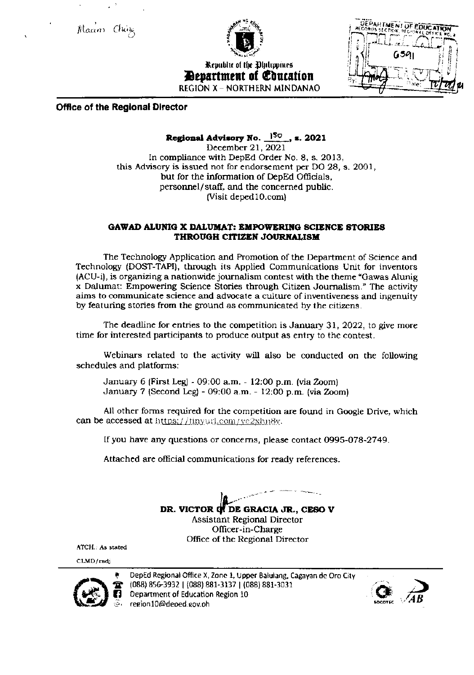Maam Chine



Republic of the Ohilippines *Devartment of Coucation* **REGION X - NORTHERN MINDANAO** 



#### **Office of the Regional Director**

#### Regional Advisory No.  $150$ , s. 2021

December 21, 2021 In compliance with DepEd Order No. 8, s. 2013, this Advisory is issued not for endorsement per DO 28, s. 2001, but for the information of DepEd Officials, personnel/staff, and the concerned public. (Visit deped10.com)

#### GAWAD ALUNIG X DALUMAT: EMPOWERING SCIENCE STORIES THROUGH CITIZEN JOURNALISM

The Technology Application and Promotion of the Department of Science and Technology (DOST-TAPI), through its Applied Communications Unit for inventors (ACU-i), is organizing a nationwide journalism contest with the theme "Gawas Alunig" x Dalumat: Empowering Science Stories through Citizen Journalism." The activity aims to communicate science and advocate a culture of inventiveness and ingenuity by featuring stories from the ground as communicated by the citizens.

The deadline for entries to the competition is January 31, 2022, to give more time for interested participants to produce output as entry to the contest.

Webinars related to the activity will also be conducted on the following schedules and platforms:

January 6 (First Leg) - 09:00 a.m. - 12:00 p.m. (via Zoom) January 7 (Second Leg) - 09:00 a.m. - 12:00 p.m. (via Zoom)

All other forms required for the competition are found in Google Drive, which can be accessed at https://tinyurl.com/ye2xhn8v.

If you have any questions or concerns, please contact 0995-078-2749.

Attached are official communications for ready references.

DR. VICTOR OF DE GRACIA JR., CESO V **Assistant Regional Director** Officer-in-Charge Office of the Regional Director

ATCH.: As stated

CLMD/radj



DepEd Regional Office X, Zone 1, Upper Balulang, Cagayan de Oro City (088) 856-3932 | (088) 881-3137 | (088) 881-3031 Department of Education Region 10 region10@deped.gov.ph

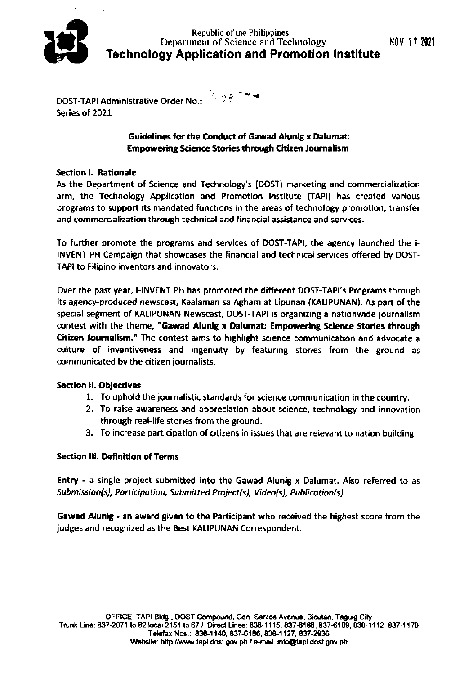

 $6.08$   $-4$ **DOST-TAPI Administrative Order No.:** Series of 2021

#### **Guidelines for the Conduct of Gawad Alunig x Dalumat: Empowering Science Stories through Citizen Journalism**

#### **Section I. Rationale**

As the Department of Science and Technology's (DOST) marketing and commercialization arm, the Technology Application and Promotion Institute (TAPI) has created various programs to support its mandated functions in the areas of technology promotion, transfer and commercialization through technical and financial assistance and services.

To further promote the programs and services of DOST-TAPI, the agency launched the i-INVENT PH Campaign that showcases the financial and technical services offered by DOST-TAPI to Filipino inventors and innovators.

Over the past year, i-INVENT PH has promoted the different DOST-TAPI's Programs through its agency-produced newscast, Kaalaman sa Agham at Lipunan (KALIPUNAN). As part of the special segment of KALIPUNAN Newscast, DOST-TAPI is organizing a nationwide journalism contest with the theme, "Gawad Alunig x Dalumat: Empowering Science Stories through Citizen Journalism." The contest aims to highlight science communication and advocate a culture of inventiveness and ingenuity by featuring stories from the ground as communicated by the citizen journalists.

#### **Section II. Objectives**

- 1. To uphold the journalistic standards for science communication in the country.
- 2. To raise awareness and appreciation about science, technology and innovation through real-life stories from the ground.
- 3. To increase participation of citizens in issues that are relevant to nation building.

#### **Section III. Definition of Terms**

Entry - a single project submitted into the Gawad Alunig x Dalumat. Also referred to as Submission(s), Participation, Submitted Project(s), Video(s), Publication(s)

Gawad Alunig - an award given to the Participant who received the highest score from the judges and recognized as the Best KALIPUNAN Correspondent.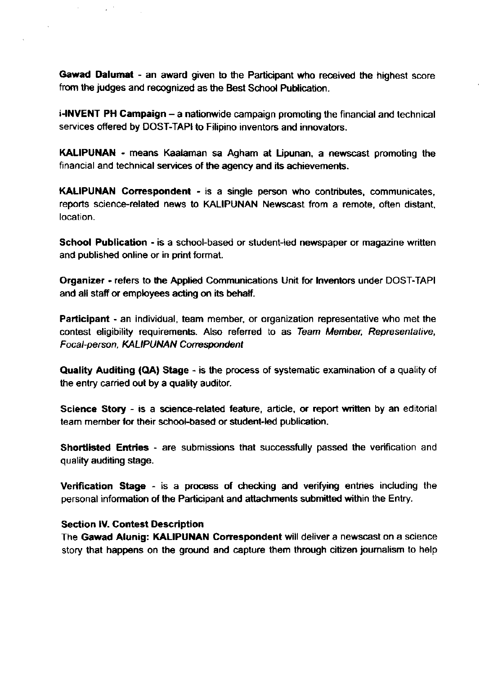Gawad Dalumat - an award given to the Participant who received the highest score from the judges and recognized as the Best School Publication.

i-INVENT PH Campaign - a nationwide campaign promoting the financial and technical services offered by DOST-TAPI to Filipino inventors and innovators.

KALIPUNAN - means Kaalaman sa Agham at Lipunan, a newscast promoting the financial and technical services of the agency and its achievements.

**KALIPUNAN Correspondent - is a single person who contributes, communicates,** reports science-related news to KALIPUNAN Newscast from a remote, often distant, location.

School Publication - is a school-based or student-led newspaper or magazine written and published online or in print format.

Organizer - refers to the Applied Communications Unit for Inventors under DOST-TAPI and all staff or employees acting on its behalf.

Participant - an individual, team member, or organization representative who met the contest eligibility requirements. Also referred to as Team Member, Representative, Focal-person, KALIPUNAN Correspondent

Quality Auditing (QA) Stage - is the process of systematic examination of a quality of the entry carried out by a quality auditor.

Science Story - is a science-related feature, article, or report written by an editorial team member for their school-based or student-led publication.

**Shortlisted Entries** - are submissions that successfully passed the verification and quality auditing stage.

Verification Stage - is a process of checking and verifying entries including the personal information of the Participant and attachments submitted within the Entry.

#### **Section IV. Contest Description**

The Gawad Alunig: KALIPUNAN Correspondent will deliver a newscast on a science story that happens on the ground and capture them through citizen journalism to help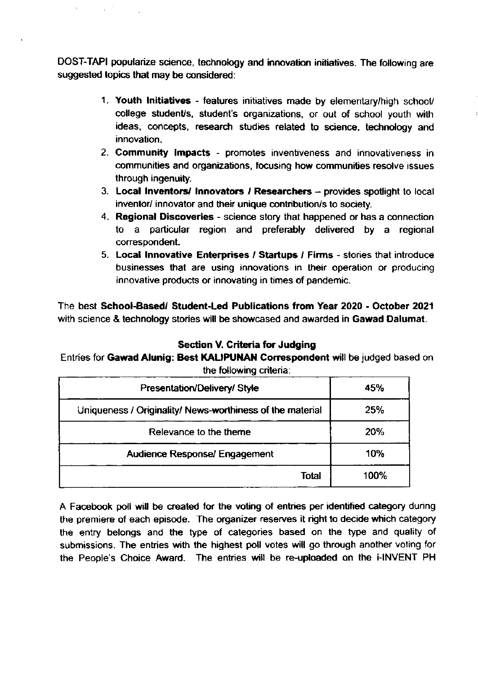DOST-TAPI popularize science, technology and innovation initiatives. The following are suggested topics that may be considered:

- 1. Youth lnitiatives features initiatives made by elementary/high school/ college student/s, student's organizations, or out of school youth with ideas, concepts, research studies related to science, technology and innovation.
- 2. Community lmpacts promotes inventiveness and innovativeness in communities and organizations, focusing how communities resolve issues through ingenuity.
- 3. Local inventors/ Innovators / Researchers  $-$  provides spotlight to local inventor/ innovator and their unique contribution/s to society.
- 4. Regional Discoveries science story that happened or has a connection to a particular region and preferably delivered by a regional correspondent.
- 5. Local Innovative Enterprises / Startups / Firms stories that introduce businesses that are using innovations in their operalion or producing innovative products or innoyating in times of pandemic.

The best School-Based/ Student-Led Publications from Year 2020 - October 2021 with science & technology stories will be showcased and awarded in Gawad Dalumat.

#### Section V. Criteria for Judging

#### Entries for Gawad Alunig: Best KALIPUNAN Correspondent will be judged based on the following criteria:

| Presentation/Delivery/Style                               | 45%  |
|-----------------------------------------------------------|------|
| Uniqueness / Originality/ News-worthiness of the material | 25%  |
| Relevance to the theme                                    | 20%  |
| <b>Audience Response/ Engagement</b>                      | 10%  |
| Total                                                     | 100% |

A Facebook poll will be created for the voting of entries per identified category during the premiere of each episode. The organizer reserves it right to decide which calegory the entry belongs and the type of categories based on the type and quality of submissions. The entries with the highest poll votes will go through another voting for the People's Choice Award. The entries will be re-uploaded on the i-INVENT PH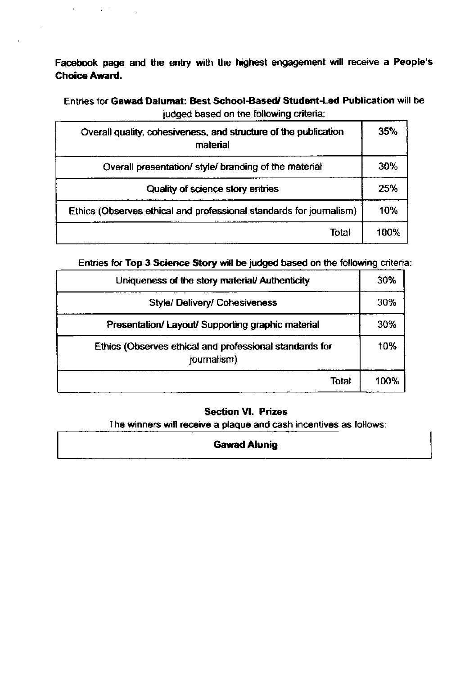Facebook page and the entry with the highest engagement will receive a People's **Choice Award.** 

 $\mathcal{L}(\mathcal{A})$  , and  $\mathcal{L}(\mathcal{A})$ 

 $\Delta \phi$ 

 $\bar{1}$ 

Entries for Gawad Dalumat: Best School-Based/ Student-Led Publication will be judged based on the following criteria:

| Overall quality, cohesiveness, and structure of the publication<br>material | 35%  |
|-----------------------------------------------------------------------------|------|
| Overall presentation/ style/ branding of the material                       | 30%  |
| Quality of science story entries                                            | 25%  |
| Ethics (Observes ethical and professional standards for journalism)         | 10%  |
| Total                                                                       | 100% |

Entries for Top 3 Science Story will be judged based on the following criteria:

| Uniqueness of the story material/Authenticity                          |       | 30%  |
|------------------------------------------------------------------------|-------|------|
| <b>Style/ Delivery/ Cohesiveness</b>                                   |       | 30%  |
| Presentation/Layout/Supporting graphic material                        |       | 30%  |
| Ethics (Observes ethical and professional standards for<br>journalism) |       | 10%  |
|                                                                        | Total | 100% |

#### **Section VI. Prizes**

The winners will receive a plaque and cash incentives as follows:

#### **Gawad Alunig**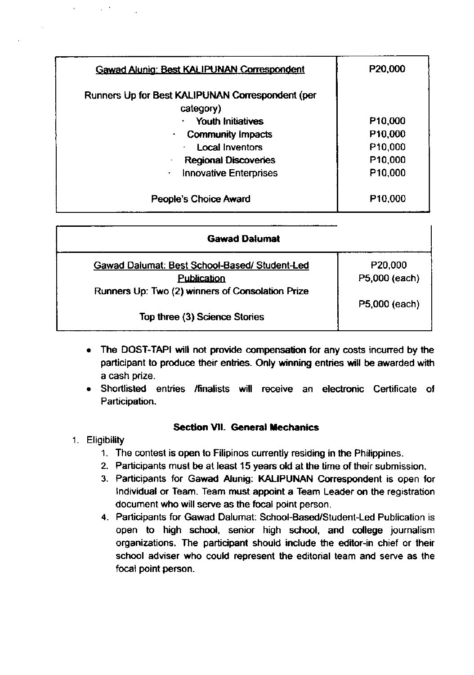| <b>Gawad Alunig: Best KALIPUNAN Correspondent</b>             | P20,000             |
|---------------------------------------------------------------|---------------------|
| Runners Up for Best KALIPUNAN Correspondent (per<br>category) |                     |
| <b>Youth Initiatives</b>                                      | P <sub>10,000</sub> |
| <b>Community Impacts</b><br>۰                                 | P <sub>10,000</sub> |
| <b>Local Inventors</b><br>٠                                   | P <sub>10,000</sub> |
| <b>Regional Discoveries</b>                                   | P10,000             |
| <b>Innovative Enterprises</b><br>٠                            | P10,000             |
| People's Choice Award                                         | P <sub>10,000</sub> |

| <b>Gawad Dalumat</b>                             |               |
|--------------------------------------------------|---------------|
| Gawad Dalumat: Best School-Based/Student-Led     | P20,000       |
| <b>Publication</b>                               | P5,000 (each) |
| Runners Up: Two (2) winners of Consolation Prize |               |
|                                                  | P5,000 (each) |
| Top three (3) Science Stories                    |               |

- The DOST-TAPI will not provide compensation for any costs incurred by the participant to produce their entries. Only winning entries will be awarded with a cash prize.
- Shortlisted entries /finalists will receive an electronic Certificate of Participation.

#### Section VII. General Mechanics

- 1. Eligibility
	- 1. The contest is open to Filipinos currently residing in the Philippines.
	- 2- Participants must be at least 15 years old at the time of their submission.
	- 3. Participants for Gawad Alunig: KALIPUNAN Correspondent is open for lndividual or Team. Team must appoint a Team Leader on the registration document who will serve as the focal point person.
	- 4. Participants for Gawad Dalumat: School-Based/Student-Led Publication is open to high school, senior high school, and college journalism organizations. The participant should include the editor-in chief or lheir school adviser who could represent the editorial team and serve as the focal point person.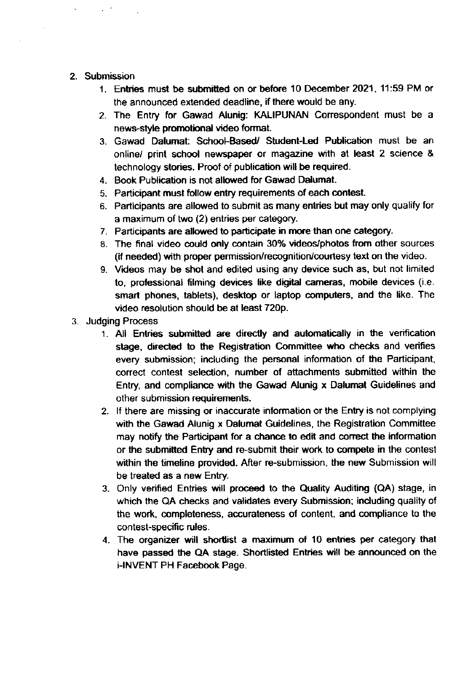#### 2. Submission

 $\mu \rightarrow \mu \nu$ 

- 1. Entries must be submitted on or before 10 December 2021, 11:59 PM or the announced extended deadline, if there would be any.
- 2. The Entry for Gawad Alunig: KALIPUNAN Correspondent must be a news-style promotional video format.
- 3. Gawad Dalumat: School-Based/ Student-Led Publication must be an online/ print school newspaper or magazine with at least 2 science & technology stories. Proof of publication will be required.
- 4. Book Publication is not allowed for Gawad Dalumat.
- 5. Participant must follow entry requirements of each contest.
- 6. Participants are allowed to submit as many entries but may only qualify for a maximum of two (2) entries per category.
- 7. Participants are allowed to participate in more than one category.
- 8. The final video could only contain 30% videos/photos from olher sources (if needed) with proper permission/recognition/courtesy text on the video.
- g- Mdeos may be shot and edited using any device such as, but not limited to, proressional filming devices like digital cameras, mobile devices (i.e. smart phones, tablets), desktop or laptop computers, and the like. The video resolution should be at least 720p.
- 3. Judging Process
	- 1. All Entries submitted are directly and automatically in the verification stage, directed to the Registration Committee who checks and verifies every submission; including the personal information of the Participant, correct contest selection, number of attachments submitted within the Entry, and compliance with the Gawad Alunig x Dalumat Guidelines and other submission requirements.
	- 2. lf there are missing or inaccurate information or lhe Entry is not complying with the Gawad Alunig x Dalumat Guidelines, the Registration Committee may notify the Participant for a chance to edit and corect the informalron or the submitted Entry and re-submit their work to compete in the contest within the timeline provided. After re-submission, the new Submission will be treated as a new Entry.
	- 3. Only verified Entries will proceed to the Quality Auditing (QA) stage, in which the QA checks and validates every Submission; including quality of the work, completeness, accurateness of content, and compliance to the contest-specific rules.
	- 4- The organizer will shordist a rnaximum of 10 entries per category that have passed the QA stage. Shortlisted Entries will be announced on the i-INVENT PH Facebook Page.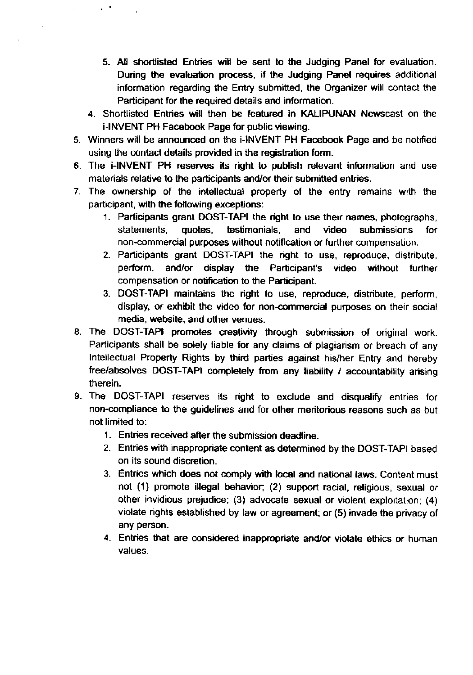- 5. All shortlisted Entries will be sent to the Judging Panel for evaluation. During the evaluation process, if the Judging Panel requires additional information regarding the Entry submitted, the Organizer will contact the Participant for the required details and information.
- 4. Shortlisted Entries will then be featured in KALIPUNAN Newscast on the i-INVENT PH Facebook Page for public viewing.
- 5. Winners will be announced on the i-INVENT PH Facebook Page and be notified using the contact details provided in the registration form.

 $\mu$  ,  $\sigma$  .

- 6. The i-INVENT PH reserves its right to publish relevant infumation and use materials relative to the participants and/or their submitted entries.
- 7. The ownership of the intellectual property of the entry remains with the parlicipant, with the following exceptions:
	- 1. Parlicjpants grant DOST-TAPI the right to use their names, photographs, statements, quotes, testimonials, and video submissions for non-commercial purposes without notilication or fu rther compensation.
	- 2. Participants grant DOST-TAPI the right to use, reproduce, distribute, perform, and/or display the Panicipant's video without further compensation or notification to the Participant.
	- 3. DOST-TAPI maintains the right to use, reproduce, distribute, perform, display, or exhibit the video for non-commercial purposes on their social media, website, and other venues.
- 8. The DOST-TAPI promotes creativity through submission of original work. Participants shall be solely liable for any claims of plagiarism or breach of any lntellectual Property Rights by third paffes against his/her Entry and hereby free/absolves DOST-TAPI completely from any liability / accountability arising therein.
- 9. The DOST-TAPI reserves its right to exclude and disqualify entries for non-compliance to the guidelines and for other meritorious reasons such as but not limited to:
	- 1. Entries received afler the submission deadline.
	- 2. Entries with inappropriate content as determined by lhe DOST-TAPI based on its sound discretion.
	- 3. Entries which does not comply with local and national laws. Content must not (1) promote illegal behavior; (2) support racial, religious, sexual or other invidious prejudice; (3) advocate sexual or violent exploitation; (4) violate rights established by law or agreement; or (5) invade the privacy of any person.
	- 4. Entries that are considered inappropriate and/or violate ethics or human values.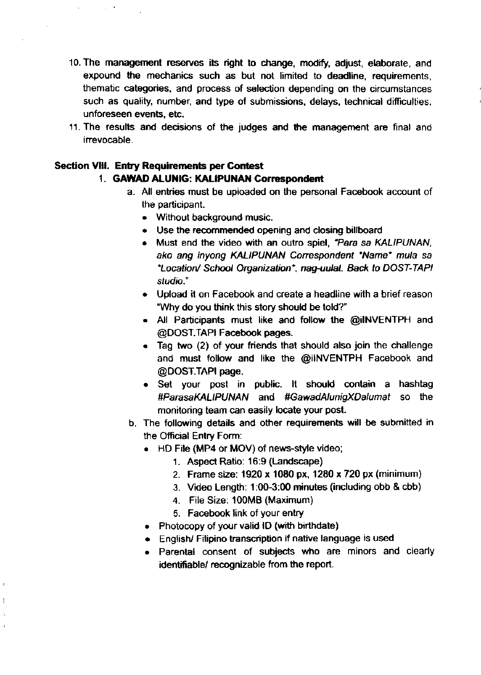- 10. The management reserves its right to change, modify, adjust, elaborate, and expound the mechanics such as but not limited to deadline, requirements, thematic categories, and process of selection depending on the circumstances such as quality, number, and type of submissions, delays, technical difficulties, unforeseen events, etc.
- 11. The results and decisions of the judges and the management are final and irrevocable.

#### **Section VIII. Entry Requirements per Contest**

#### 1. GAWAD ALUNIG: KALIPUNAN Correspondent

- a. All entries must be uploaded on the personal Facebook account of the participant.
	- Without background music.
	- Use the recommended opening and closing billboard
	- . Must end the video with an outro spiel, "Para sa KALIPUNAN, ako ang inyong KALIPUNAN Correspondent "Name" mula sa \*Location/ School Organization\*, nag-uulat. Back to DOST-TAPI studio."
	- Upload it on Facebook and create a headline with a brief reason "Why do you think this story should be told?"
	- . All Participants must like and follow the @iINVENTPH and @DOST.TAPI Facebook pages.
	- Tag two (2) of your friends that should also join the challenge and must follow and like the @ilNVENTPH Facebook and @DOST.TAPI page.
	- Set your post in public. It should contain a hashtag #ParasaKALIPUNAN and #GawadAlunigXDalumat so the monitoring team can easily locate your post.
- b. The following details and other requirements will be submitted in the Official Entry Form:
	- HD File (MP4 or MOV) of news-style video;
		- 1. Aspect Ratio: 16:9 (Landscape)
		- 2. Frame size: 1920 x 1080 px, 1280 x 720 px (minimum)
		- 3. Video Length: 1:00-3:00 minutes (including obb & cbb)
		- 4. File Size: 100MB (Maximum)
		- 5. Facebook link of your entry
	- Photocopy of your valid ID (with birthdate)
	- English/ Filipino transcription if native language is used
	- . Parental consent of subjects who are minors and clearly identifiable/ recognizable from the report.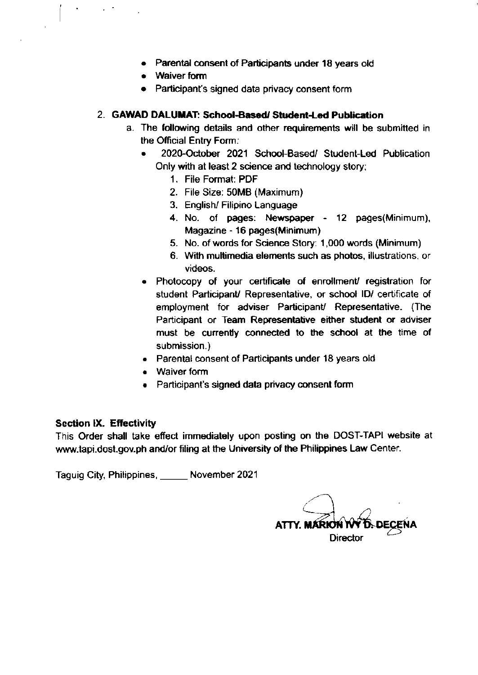- . Parental consent of Participants under 18 years old
- . Waiver fom
- . Participant's signed data privacy consent form

#### 2. GAWAD DALUMAT: School-Based/ Student-Led Publication

- a. The following details and other requirements will be submitted in the Official Entry Form;
	- 2020-October 2021 School-Based/ Student-Led Publication Only with at least 2 science and technology story;
		- <sup>1</sup>. File Format: POF
		- 2. File Size: 50MB (Maximum)
		- 3. English/ Filipino Language
		- 4. No. of pages: Nevspaper 12 pages(Minimum), Magazine - 16 pages(Minimum)
		- 5. No. of words for Science Story: 1 ,000 words (Minimum)
		- 6. With multimedia elements such as photos, illustrations, or videos.
	- . Photocopy of your certificate of enrollment/ registration for student Participant/ Representative, or school ID/ certificate of employment for adviser Participant/ Representative. (The Parlicipant or Team Representative either student or adviser must be cunently connected to the school at the time of submission.)
	- . Parental consant of Participants under 18 years old
	- . Waiver form
	- . Participant's signed data privacy consenl form

#### Section lX, Effectivity

This Order shall take efiect immediately upon posting on the DOST-TAPI website at www.tapi.dost.gov.ph and/or filing at the University of the Philippines Law Center.

Taguig City, Philippines, \_ November <sup>2021</sup>

ATTY. MÁRION N **Director**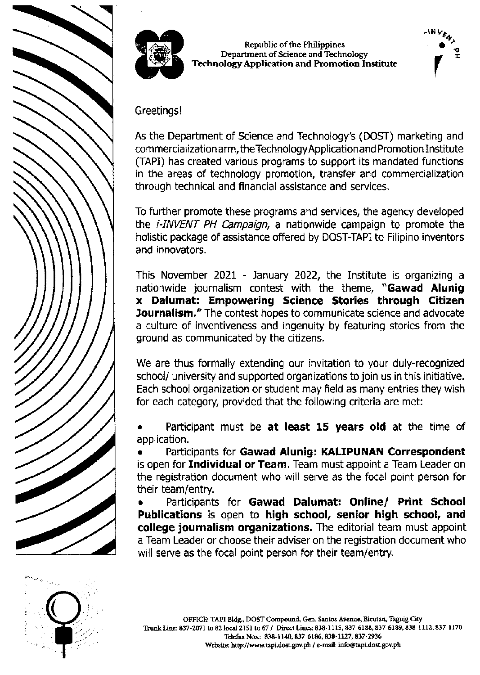



Republic of the Philippines Department of Science and Technology **Technology Application and Promotion Institute** 



Greetings!

As the Department of Science and Technology's (DOST) marketing and commercialization arm, the Technology Application and Promotion Institute (TAPI) has created various programs to support its mandated functions in the areas of technology promotion, transfer and commercialization through technical and financial assistance and services.

To further promote these programs and services, the agency developed the *i-INVENT PH Campaign*, a nationwide campaign to promote the holistic package of assistance offered by DOST-TAPI to Filipino inventors and innovators.

This November 2021 - January 2022, the Institute is organizing a nationwide journalism contest with the theme, "Gawad Alunig x Dalumat: Empowering Science Stories through Citizen Journalism." The contest hopes to communicate science and advocate a culture of inventiveness and ingenuity by featuring stories from the ground as communicated by the citizens.

We are thus formally extending our invitation to your duly-recognized school/ university and supported organizations to join us in this initiative. Each school organization or student may field as many entries they wish for each category, provided that the following criteria are met:

Participant must be at least 15 years old at the time of application.

Participants for Gawad Alunig: KALIPUNAN Correspondent is open for Individual or Team. Team must appoint a Team Leader on the registration document who will serve as the focal point person for their team/entry.

Participants for Gawad Dalumat: Online/ Print School Publications is open to high school, senior high school, and college journalism organizations. The editorial team must appoint a Team Leader or choose their adviser on the registration document who will serve as the focal point person for their team/entry.

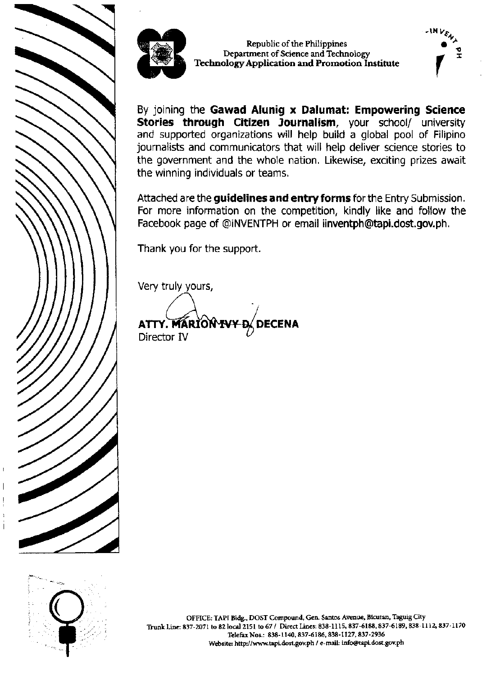



Republic of the Philippines Department of Science and Technology Technology Application and Promotion Institute



By joining the Gawad Alunig x Dalumat: Empowering Science Stories through Citizen Journalism, your school/ university and supported organizations will help build a global pool of Filipino journalists and communicators that will help deliver science stories to the government and the whole nation. Likewise, exciting prizes await the winning individuals or teams.

Attached are the guidelines and entry forms for the Entry Submission. For more information on the competition, kindly like and follow the Facebook page of @iNVENTPH or email iinventph@tapi.dost.gov.ph.

Thank you for the support.

Very truly yours,

ATTY. MARION IV Director IV

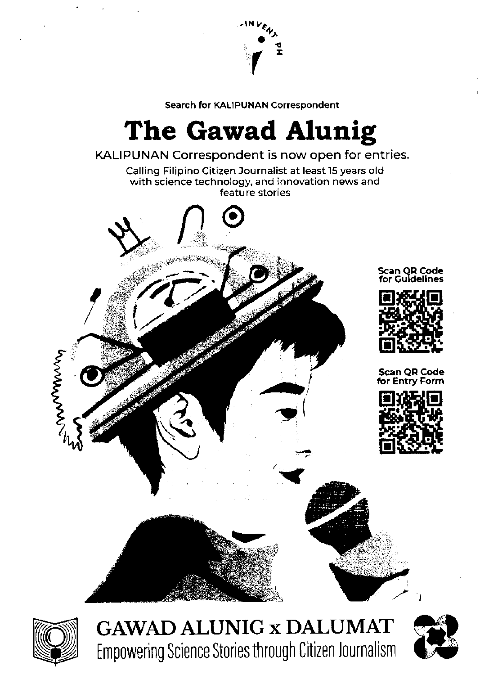

Search for KALIPUNAN Correspondent

# The Gawad Alunig

#### KALIPUNAN Correspondent is now open for entries.

Calling Filipino Citizen Journalist at least 15 years old with science technology, and innovation news and feature stories



Scan QR Code or Guidelines



**Scan QR Code Entry Form** 





**GAWAD ALUNIG x DALUMAT Empowering Science Stories through Citizen Journalism** 

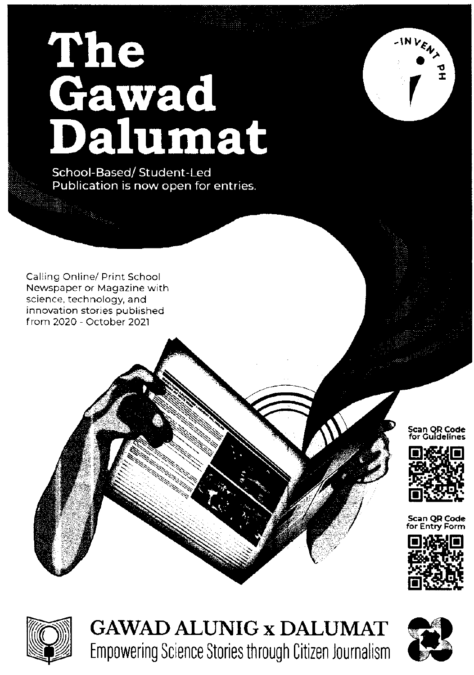# The<br>Gawad<br>Dalumat

School-Based/Student-Led Publication is now open for entries.

Calling Online/ Print School Newspaper or Magazine with science, technology, and innovation stories published from 2020 - October 2021

#### Scan QR Code for Guidelines

INVENT



**Scan OR Code** 





**GAWAD ALUNIG x DALUMAT** Empowering Science Stories through Citizen Journalism

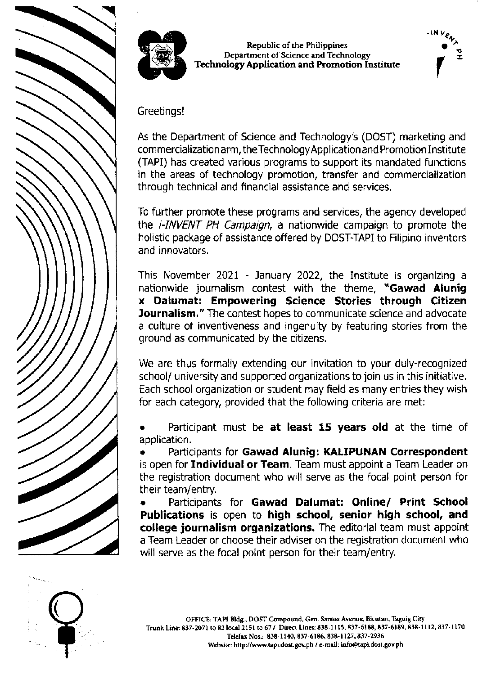



Republic of the Philippines Department of Science and Technology **Technology Application and Promotion Institute** 



Greetings!

As the Department of Science and Technology's (DOST) marketing and commercialization arm, the Technology Application and Promotion Institute (TAPI) has created various programs to support its mandated functions in the areas of technology promotion, transfer and commercialization through technical and financial assistance and services.

To further promote these programs and services, the agency developed the *i-INVENT PH Campaign*, a nationwide campaign to promote the holistic package of assistance offered by DOST-TAPI to Filipino inventors and innovators.

This November 2021 - January 2022, the Institute is organizing a nationwide journalism contest with the theme, "Gawad Alunig x Dalumat: Empowering Science Stories through Citizen Journalism." The contest hopes to communicate science and advocate a culture of inventiveness and ingenuity by featuring stories from the ground as communicated by the citizens.

We are thus formally extending our invitation to your duly-recognized school/ university and supported organizations to join us in this initiative. Each school organization or student may field as many entries they wish for each category, provided that the following criteria are met:

Participant must be at least 15 years old at the time of application.

Participants for Gawad Alunig: KALIPUNAN Correspondent is open for Individual or Team. Team must appoint a Team Leader on the registration document who will serve as the focal point person for their team/entry.

Participants for Gawad Dalumat: Online/ Print School Publications is open to high school, senior high school, and college journalism organizations. The editorial team must appoint a Team Leader or choose their adviser on the registration document who will serve as the focal point person for their team/entry.

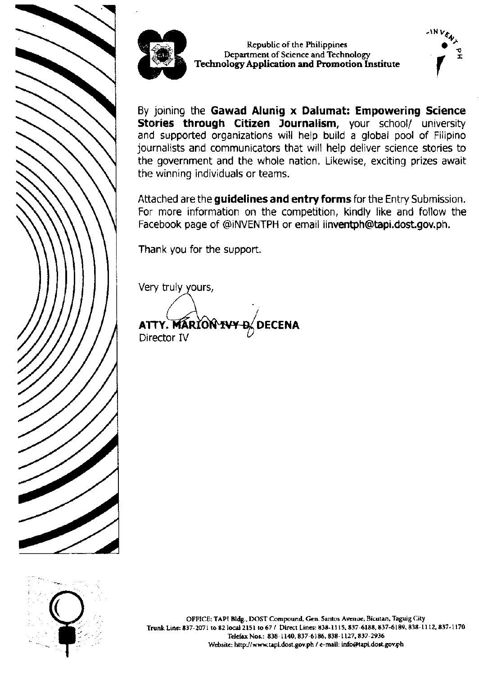



Republic of the Philippines Department of Science and Technology Technology Application and Promotion Institute



By joining the Gawad Alunig x Dalumat: Empowering Science Stories through Citizen Journalism, your school/ university and supported organizations will help build a global pool of Filipino journalists and communicators that will help deliver science stories to the government and the whole nation. Likewise, exciting prizes await the winning individuals or teams.

Attached are the guidelines and entry forms for the Entry Submission. For more information on the competition, kindly like and follow the Facebook page of @iNVENTPH or email iinventph@tapi.dost.gov.ph.

Thank you for the support.

Very truly yours,

ATTY. MARION IV **DECENA** Director IV



OFFICE: TAPI Bldg., DOST Compound, Gen. Santos Avenue, Bicutan, Taguig City Trunk Line: 837-2071 to 82 local 2151 to 67 / Direct Lines: 838-1115, 837-6188, 837-6189, 838-1112, 837-1170 Telefax Nos.: 838-1140, 837-6186, 838-1127, 837-2936 Website: http://www.tapi.dost.gov.ph / e-mail: info@tapi.dost.gov.ph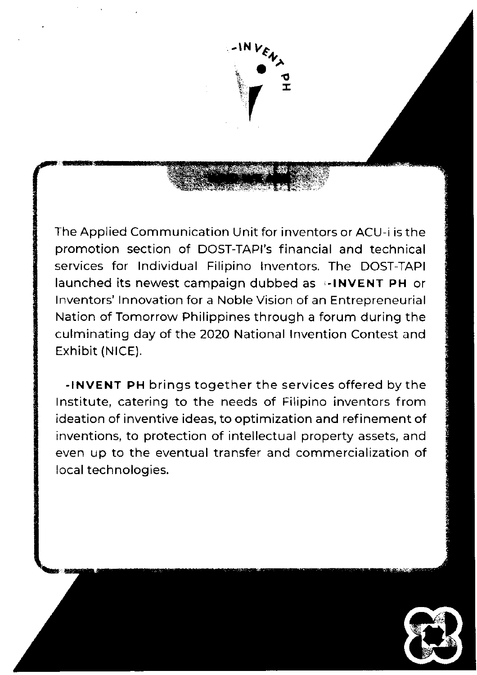

The Applied Communication Unit for inventors or ACU-i is the promotion section of DOST-TAPI's financial and technical services for lndividual Filipino lnventors. The DOST-TAPI launched its newest campaign dubbed as  $\div$ INVENT PH or lnventors' lnnovation for a Noble Vision of an Entrepreneurial Nation of Tomorrow Philippines through a forum during the culminating day of the 2O2O National lnvention Contest and Exhibit (NICE).

-lNvENT PH brings together the services offered by the lnstitute, catering to the needs of Filipino inventors from ideation of inventive ideas, to optimization and refinement of inventions, to protection of intellectual property assets, and even up to the eventual transfer and commercialization of local technologies.

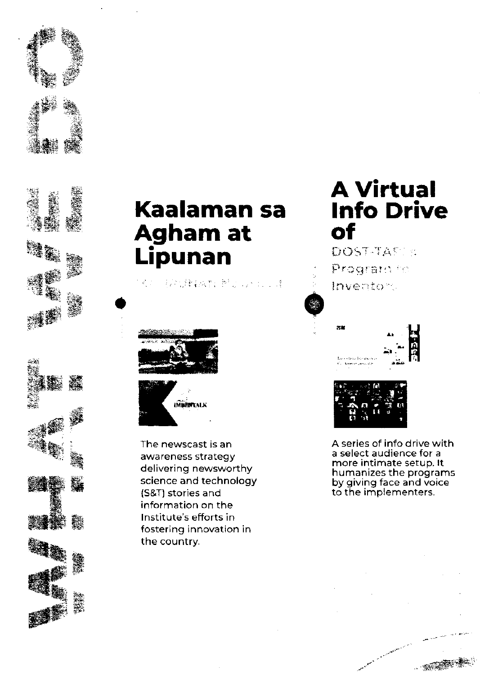



() 指示是特别的人, 就是一个人的人,



The newscast is an awareness strategy delivering newsworthy science and technology (S&T) stories and information on the Institute's efforts in fostering innovation in the country.

### **A Virtual Info Drive of**

DOST-TAST S Program fo Inventory





A series of info drive with a select audience for a more intimate setup. It humanizes the programs<br>by giving face and voice<br>to the implementers.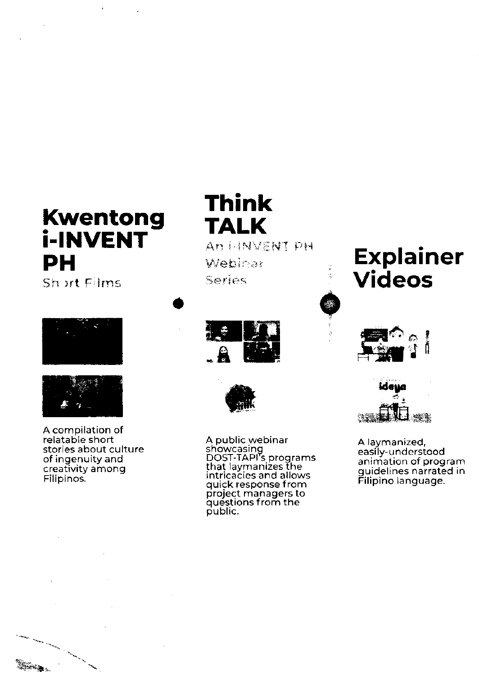# **Kwentong i-INVENT PH**

Sh art Films





A compilation of relatable short stories about culture of ingenuity and creativity among Filipinos.

**Think TALK** An HINVENT PH Webinar Series





A public webinar<br>showcasing<br>DOST-TAPI's programs<br>that laymanizes the<br>intricacies and allows<br>quick response from project managers to questions from the public.

# **Explainer Videos**





A laymanized, easily-understood animation of program guidelines narrated in Filipino language.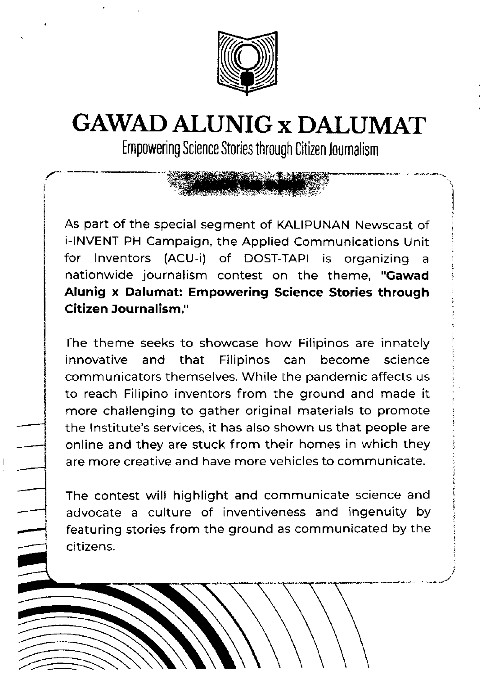

# GAWAD ALUNIG x DALUMAT

Empowering Science Stories through Citizen lournalism

i

As part of the special segment of KALIpUNAN Newscast of i-INVENT PH Campaign, the Applied Communications Unit for lnventors (ACU-i) of DOST-TAPI is organizing <sup>a</sup> nationwide journalism contest on the theme, "Gawad Alunig x Dalumat: Empowering Science Stories through Citizen Journalism."

The theme seeks to showcase how Filipinos are innately innovative and that Filipinos can become science communicators themselves. While the pandemic affects us to reach Filipino inventors from the ground and made it more challenging to gather original materials to promote the lnstitute's services, it has also shown us that people are online and they are stuck from their homes in which they are more creative and have more vehicles to communicate.

The contest will highlight and communicate science and advocate a culture of inventiveness and ingenuity by featuring stories from the ground as communicated by the citizens.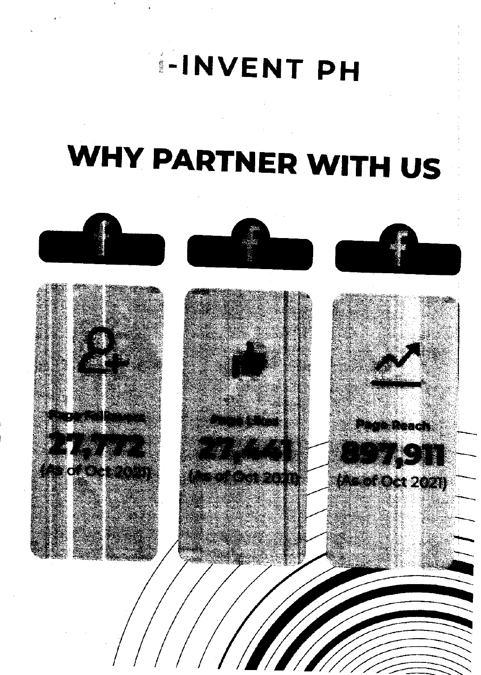# **I-INVENT PH**

# WHY PARTNER WITH US